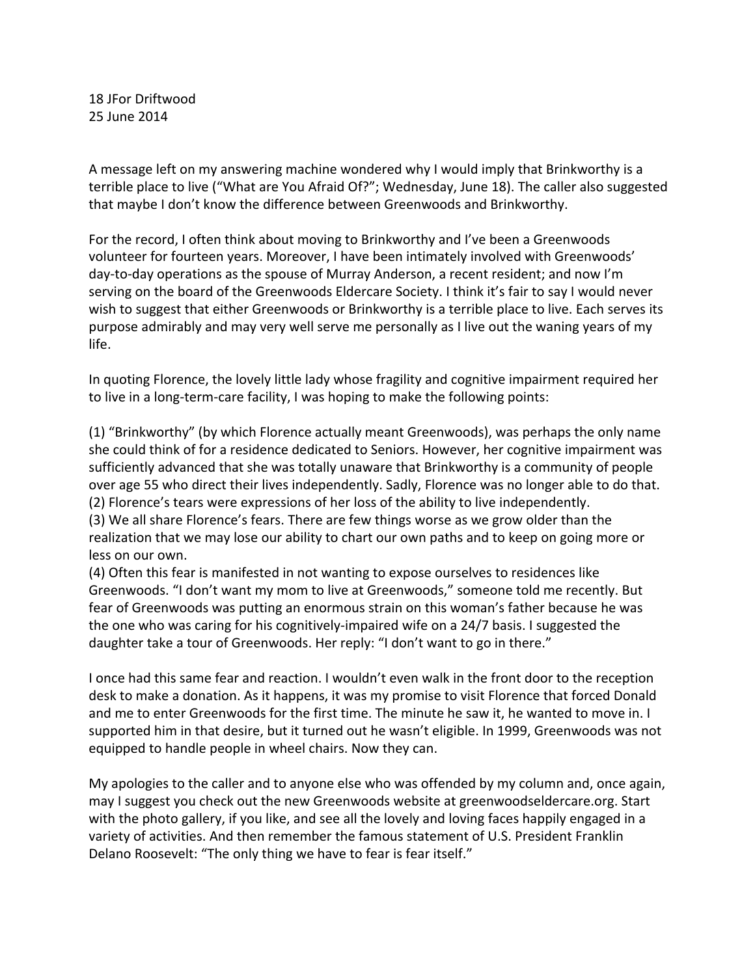18 JFor Driftwood 25 June 2014

A message left on my answering machine wondered why I would imply that Brinkworthy is a terrible place to live ("What are You Afraid Of?"; Wednesday, June 18). The caller also suggested that maybe I don't know the difference between Greenwoods and Brinkworthy.

For the record, I often think about moving to Brinkworthy and I've been a Greenwoods volunteer for fourteen years. Moreover, I have been intimately involved with Greenwoods' day-to-day operations as the spouse of Murray Anderson, a recent resident; and now I'm serving on the board of the Greenwoods Eldercare Society. I think it's fair to say I would never wish to suggest that either Greenwoods or Brinkworthy is a terrible place to live. Each serves its purpose admirably and may very well serve me personally as I live out the waning years of my life.

In quoting Florence, the lovely little lady whose fragility and cognitive impairment required her to live in a long-term-care facility, I was hoping to make the following points:

(1) "Brinkworthy" (by which Florence actually meant Greenwoods), was perhaps the only name she could think of for a residence dedicated to Seniors. However, her cognitive impairment was sufficiently advanced that she was totally unaware that Brinkworthy is a community of people over age 55 who direct their lives independently. Sadly, Florence was no longer able to do that. (2) Florence's tears were expressions of her loss of the ability to live independently. (3) We all share Florence's fears. There are few things worse as we grow older than the realization that we may lose our ability to chart our own paths and to keep on going more or less on our own.

(4) Often this fear is manifested in not wanting to expose ourselves to residences like Greenwoods. "I don't want my mom to live at Greenwoods," someone told me recently. But fear of Greenwoods was putting an enormous strain on this woman's father because he was the one who was caring for his cognitively-impaired wife on a 24/7 basis. I suggested the daughter take a tour of Greenwoods. Her reply: "I don't want to go in there."

I once had this same fear and reaction. I wouldn't even walk in the front door to the reception desk to make a donation. As it happens, it was my promise to visit Florence that forced Donald and me to enter Greenwoods for the first time. The minute he saw it, he wanted to move in. I supported him in that desire, but it turned out he wasn't eligible. In 1999, Greenwoods was not equipped to handle people in wheel chairs. Now they can.

My apologies to the caller and to anyone else who was offended by my column and, once again, may I suggest you check out the new Greenwoods website at greenwoodseldercare.org. Start with the photo gallery, if you like, and see all the lovely and loving faces happily engaged in a variety of activities. And then remember the famous statement of U.S. President Franklin Delano Roosevelt: "The only thing we have to fear is fear itself."